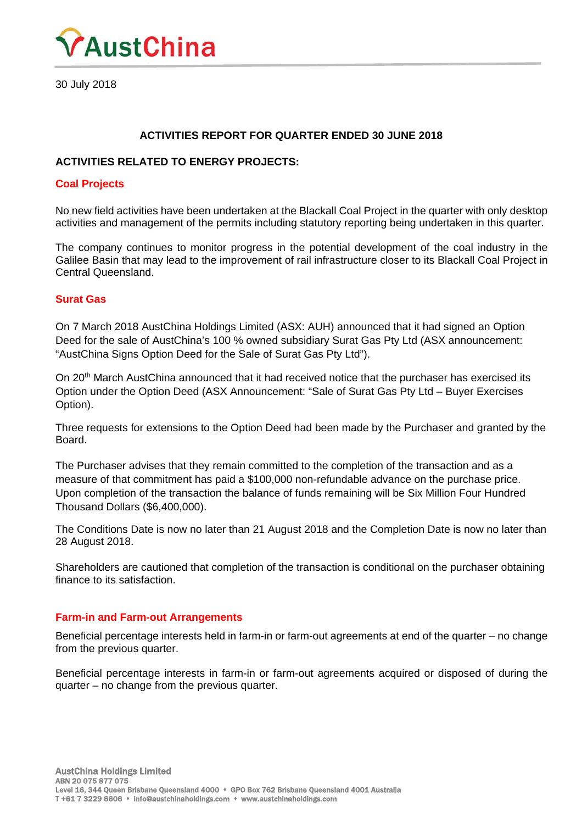

30 July 2018

# **ACTIVITIES REPORT FOR QUARTER ENDED 30 JUNE 2018**

## **ACTIVITIES RELATED TO ENERGY PROJECTS:**

### **Coal Projects**

No new field activities have been undertaken at the Blackall Coal Project in the quarter with only desktop activities and management of the permits including statutory reporting being undertaken in this quarter.

The company continues to monitor progress in the potential development of the coal industry in the Galilee Basin that may lead to the improvement of rail infrastructure closer to its Blackall Coal Project in Central Queensland.

## **Surat Gas**

On 7 March 2018 AustChina Holdings Limited (ASX: AUH) announced that it had signed an Option Deed for the sale of AustChina's 100 % owned subsidiary Surat Gas Pty Ltd (ASX announcement: "AustChina Signs Option Deed for the Sale of Surat Gas Pty Ltd").

On 20<sup>th</sup> March AustChina announced that it had received notice that the purchaser has exercised its Option under the Option Deed (ASX Announcement: "Sale of Surat Gas Pty Ltd – Buyer Exercises Option).

Three requests for extensions to the Option Deed had been made by the Purchaser and granted by the Board.

The Purchaser advises that they remain committed to the completion of the transaction and as a measure of that commitment has paid a \$100,000 non-refundable advance on the purchase price. Upon completion of the transaction the balance of funds remaining will be Six Million Four Hundred Thousand Dollars (\$6,400,000).

The Conditions Date is now no later than 21 August 2018 and the Completion Date is now no later than 28 August 2018.

Shareholders are cautioned that completion of the transaction is conditional on the purchaser obtaining finance to its satisfaction.

#### **Farm-in and Farm-out Arrangements**

Beneficial percentage interests held in farm-in or farm-out agreements at end of the quarter – no change from the previous quarter.

Beneficial percentage interests in farm-in or farm-out agreements acquired or disposed of during the quarter – no change from the previous quarter.